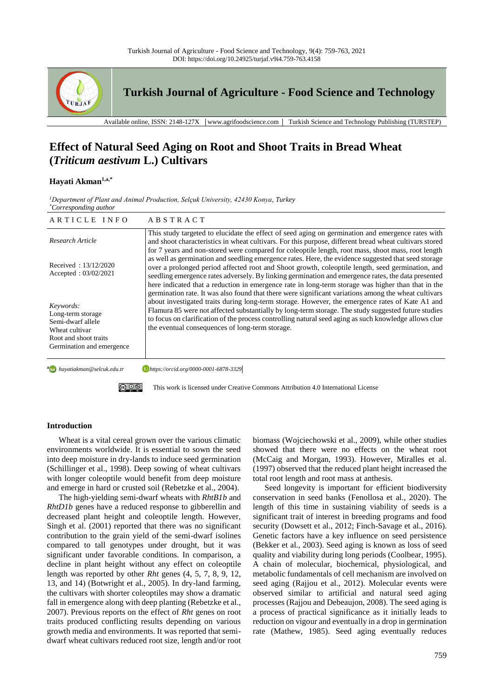

**Turkish Journal of Agriculture - Food Science and Technology**

Available online, ISSN: 2148-127X │www.agrifoodscience.com │ Turkish Science and Technology Publishing (TURSTEP)

# **Effect of Natural Seed Aging on Root and Shoot Traits in Bread Wheat (***Triticum aestivum* **L.) Cultivars**

# **Hayati Akman1,a,\***

*<sup>1</sup>Department of Plant and Animal Production, Selçuk University, 42430 Konya, Turkey \*Corresponding author*

| ARTICLE INFO                                                                                                                | ABSTRACT                                                                                                                                                                                                                                                                                                                                                                                                                                                                                                                                                                                                                          |
|-----------------------------------------------------------------------------------------------------------------------------|-----------------------------------------------------------------------------------------------------------------------------------------------------------------------------------------------------------------------------------------------------------------------------------------------------------------------------------------------------------------------------------------------------------------------------------------------------------------------------------------------------------------------------------------------------------------------------------------------------------------------------------|
| Research Article                                                                                                            | This study targeted to elucidate the effect of seed aging on germination and emergence rates with<br>and shoot characteristics in wheat cultivars. For this purpose, different bread wheat cultivars stored                                                                                                                                                                                                                                                                                                                                                                                                                       |
| Received: 13/12/2020<br>Accepted: 03/02/2021                                                                                | for 7 years and non-stored were compared for coleoptile length, root mass, shoot mass, root length<br>as well as germination and seedling emergence rates. Here, the evidence suggested that seed storage<br>over a prolonged period affected root and Shoot growth, coleoptile length, seed germination, and<br>seedling emergence rates adversely. By linking germination and emergence rates, the data presented<br>here indicated that a reduction in emergence rate in long-term storage was higher than that in the<br>germination rate. It was also found that there were significant variations among the wheat cultivars |
| Keywords:<br>Long-term storage<br>Semi-dwarf allele<br>Wheat cultivar<br>Root and shoot traits<br>Germination and emergence | about investigated traits during long-term storage. However, the emergence rates of Kate A1 and<br>Flamura 85 were not affected substantially by long-term storage. The study suggested future studies<br>to focus on clarification of the process controlling natural seed aging as such knowledge allows clue<br>the eventual consequences of long-term storage.                                                                                                                                                                                                                                                                |
| <b>a</b> havatiakman@selcuk.edu.tr                                                                                          | https://orcid.org/0000-0001-6878-3329                                                                                                                                                                                                                                                                                                                                                                                                                                                                                                                                                                                             |

**a** havatiakman@selcuk edu tr

 $\circledcirc$   $\circledcirc$ 

This work is licensed under Creative Commons Attribution 4.0 International License

## **Introduction**

Wheat is a vital cereal grown over the various climatic environments worldwide. It is essential to sown the seed into deep moisture in dry-lands to induce seed germination (Schillinger et al., 1998). Deep sowing of wheat cultivars with longer coleoptile would benefit from deep moisture and emerge in hard or crusted soil (Rebetzke et al., 2004).

The high-yielding semi-dwarf wheats with *RhtB1b* and *RhtD1b* genes have a reduced response to gibberellin and decreased plant height and coleoptile length. However, Singh et al. (2001) reported that there was no significant contribution to the grain yield of the semi-dwarf isolines compared to tall genotypes under drought, but it was significant under favorable conditions. In comparison, a decline in plant height without any effect on coleoptile length was reported by other *Rht* genes (4, 5, 7, 8, 9, 12, 13, and 14) (Botwright et al., 2005). In dry-land farming, the cultivars with shorter coleoptiles may show a dramatic fall in emergence along with deep planting (Rebetzke et al., 2007). Previous reports on the effect of *Rht* genes on root traits produced conflicting results depending on various growth media and environments. It was reported that semidwarf wheat cultivars reduced root size, length and/or root biomass (Wojciechowski et al., 2009), while other studies showed that there were no effects on the wheat root (McCaig and Morgan, 1993). However, Miralles et al*.* (1997) observed that the reduced plant height increased the total root length and root mass at anthesis.

Seed longevity is important for efficient biodiversity conservation in seed banks (Fenollosa et al., 2020). The length of this time in sustaining viability of seeds is a significant trait of interest in breeding programs and food security (Dowsett et al., 2012; Finch-Savage et al., 2016). Genetic factors have a key influence on seed persistence (Bekker et al., 2003). Seed aging is known as loss of seed quality and viability during long periods (Coolbear, 1995). A chain of molecular, biochemical, physiological, and metabolic fundamentals of cell mechanism are involved on seed aging (Rajjou et al., 2012). Molecular events were observed similar to artificial and natural seed aging processes (Rajjou and Debeaujon, 2008). The seed aging is a process of practical significance as it initially leads to reduction on vigour and eventually in a drop in germination rate (Mathew, 1985). Seed aging eventually reduces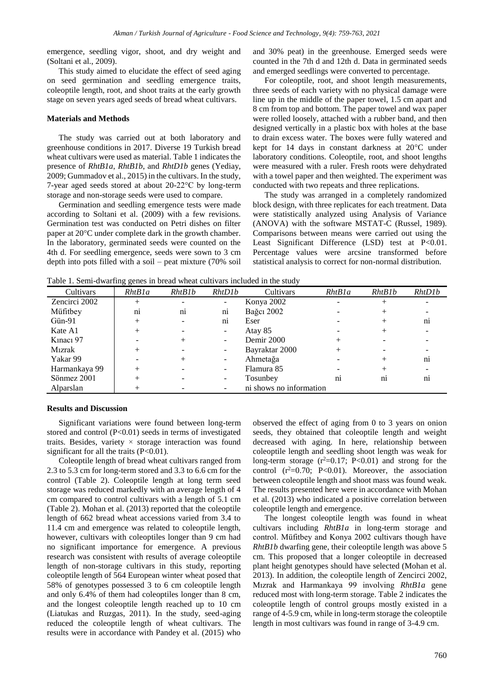emergence, seedling vigor, shoot, and dry weight and (Soltani et al., 2009).

This study aimed to elucidate the effect of seed aging on seed germination and seedling emergence traits, coleoptile length, root, and shoot traits at the early growth stage on seven years aged seeds of bread wheat cultivars.

#### **Materials and Methods**

The study was carried out at both laboratory and greenhouse conditions in 2017. Diverse 19 Turkish bread wheat cultivars were used as material. Table 1 indicates the presence of *RhtB1a*, *RhtB1b*, and *RhtD1b* genes (Yediay, 2009; Gummadov et al., 2015) in the cultivars. In the study, 7-year aged seeds stored at about 20-22°C by long-term storage and non-storage seeds were used to compare.

Germination and seedling emergence tests were made according to Soltani et al. (2009) with a few revisions. Germination test was conducted on Petri dishes on filter paper at 20°C under complete dark in the growth chamber. In the laboratory, germinated seeds were counted on the 4th d. For seedling emergence, seeds were sown to 3 cm depth into pots filled with a soil – peat mixture (70% soil and 30% peat) in the greenhouse. Emerged seeds were counted in the 7th d and 12th d. Data in germinated seeds and emerged seedlings were converted to percentage.

For coleoptile, root, and shoot length measurements, three seeds of each variety with no physical damage were line up in the middle of the paper towel, 1.5 cm apart and 8 cm from top and bottom. The paper towel and wax paper were rolled loosely, attached with a rubber band, and then designed vertically in a plastic box with holes at the base to drain excess water. The boxes were fully watered and kept for 14 days in constant darkness at 20°C under laboratory conditions. Coleoptile, root, and shoot lengths were measured with a ruler. Fresh roots were dehydrated with a towel paper and then weighted. The experiment was conducted with two repeats and three replications.

The study was arranged in a completely randomized block design, with three replicates for each treatment. Data were statistically analyzed using Analysis of Variance (ANOVA) with the software MSTAT-C (Russel, 1989). Comparisons between means were carried out using the Least Significant Difference (LSD) test at P<0.01. Percentage values were arcsine transformed before statistical analysis to correct for non-normal distribution.

Table 1. Semi-dwarfing genes in bread wheat cultivars included in the study

| Tuble 1. Benn a marting genes in slead wheat each rais included in the stad |                        |                        |                          |                         |                |                |                |  |
|-----------------------------------------------------------------------------|------------------------|------------------------|--------------------------|-------------------------|----------------|----------------|----------------|--|
| Cultivars                                                                   | RhtB1a                 | RhtB1b                 | RhtD1b                   | Cultivars               | RhtB1a         | RhtB1b         | RhtD1b         |  |
| Zencirci 2002                                                               | $^{+}$                 |                        |                          | Konya 2002              |                |                |                |  |
| Müfitbey                                                                    | $\overline{\text{ni}}$ | $\overline{\text{ni}}$ | $\overline{ni}$          | Bağcı 2002              |                |                |                |  |
| $G$ ün-91                                                                   | $^{+}$                 |                        | n <sub>1</sub>           | Eser                    |                |                | $n_{1}$        |  |
| Kate A1                                                                     | $^{+}$                 |                        | ۰                        | Atay 85                 |                |                |                |  |
| Kinaci 97                                                                   |                        |                        | $\overline{\phantom{0}}$ | Demir 2000              | $^+$           |                |                |  |
| Mızrak                                                                      | $^{+}$                 |                        | -                        | Bayraktar 2000          | $^+$           |                |                |  |
| Yakar 99                                                                    |                        |                        | ٠.                       | Ahmetağa                |                |                | n <sub>1</sub> |  |
| Harmankaya 99                                                               | $^+$                   |                        | Ξ.                       | Flamura 85              |                |                |                |  |
| Sönmez 2001                                                                 | $^+$                   |                        |                          | Tosunbey                | n <sub>1</sub> | n <sub>1</sub> | $n_{1}$        |  |
| Alparslan                                                                   | $^{+}$                 |                        |                          | ni shows no information |                |                |                |  |

#### **Results and Discussion**

Significant variations were found between long-term stored and control  $(P<0.01)$  seeds in terms of investigated traits. Besides, variety × storage interaction was found significant for all the traits  $(P<0.01)$ .

Coleoptile length of bread wheat cultivars ranged from 2.3 to 5.3 cm for long-term stored and 3.3 to 6.6 cm for the control (Table 2). Coleoptile length at long term seed storage was reduced markedly with an average length of 4 cm compared to control cultivars with a length of 5.1 cm (Table 2). Mohan et al. (2013) reported that the coleoptile length of 662 bread wheat accessions varied from 3.4 to 11.4 cm and emergence was related to coleoptile length, however, cultivars with coleoptiles longer than 9 cm had no significant importance for emergence. A previous research was consistent with results of average coleoptile length of non-storage cultivars in this study, reporting coleoptile length of 564 European winter wheat posed that 58% of genotypes possessed 3 to 6 cm coleoptile length and only 6.4% of them had coleoptiles longer than 8 cm, and the longest coleoptile length reached up to 10 cm (Liatukas and Ruzgas, 2011). In the study, seed-aging reduced the coleoptile length of wheat cultivars. The results were in accordance with Pandey et al. (2015) who

observed the effect of aging from 0 to 3 years on onion seeds, they obtained that coleoptile length and weight decreased with aging. In here, relationship between coleoptile length and seedling shoot length was weak for long-term storage  $(r^2=0.17; P<0.01)$  and strong for the control  $(r^2=0.70; P<0.01)$ . Moreover, the association between coleoptile length and shoot mass was found weak. The results presented here were in accordance with Mohan et al. (2013) who indicated a positive correlation between coleoptile length and emergence.

The longest coleoptile length was found in wheat cultivars including *RhtB1a* in long-term storage and control. Müfitbey and Konya 2002 cultivars though have *RhtB1b* dwarfing gene, their coleoptile length was above 5 cm. This proposed that a longer coleoptile in decreased plant height genotypes should have selected (Mohan et al. 2013). In addition, the coleoptile length of Zencirci 2002, Mızrak and Harmankaya 99 involving *RhtB1a* gene reduced most with long-term storage. Table 2 indicates the coleoptile length of control groups mostly existed in a range of 4-5.9 cm, while in long-term storage the coleoptile length in most cultivars was found in range of 3-4.9 cm.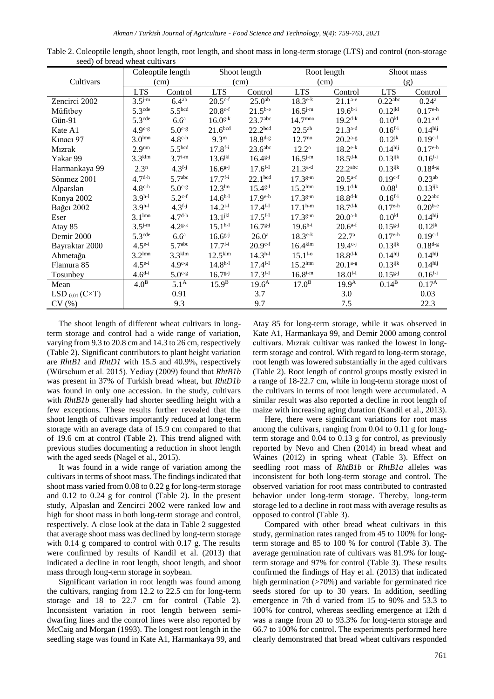|                              | Coleoptile length  |                    | Shoot length          |                     | Root length           |                       | Shoot mass            |                       |
|------------------------------|--------------------|--------------------|-----------------------|---------------------|-----------------------|-----------------------|-----------------------|-----------------------|
| Cultivars                    |                    | (cm)               | (cm)                  |                     | (cm)                  |                       | (g)                   |                       |
|                              | <b>LTS</b>         | Control            | <b>LTS</b>            | Control             | <b>LTS</b>            | Control               | <b>LTS</b>            | Control               |
| Zencirci 2002                | $3.5^{j-m}$        | $6.4^{ab}$         | $20.5^{\text{c-f}}$   | $25.0^{ab}$         | $18.3^{\text{e-k}}$   | $21.1^{a-e}$          | $0.22$ <sup>abc</sup> | 0.24 <sup>a</sup>     |
| Müfitbey                     | 5.3 <sup>cde</sup> | 5.5 <sup>bcd</sup> | $20.8^{\text{c-f}}$   | $21.5^{b-e}$        | $16.5^{j-m}$          | $19.6^{b-i}$          | $0.12$ <sup>jkl</sup> | $0.17^{\text{e-h}}$   |
| Gün-91                       | 5.3 <sup>cde</sup> | 6.6 <sup>a</sup>   | $16.0^{g-k}$          | 23.7 <sup>abc</sup> | $14.7^{mno}$          | $19.2^{d-k}$          | 0.10 <sup>kl</sup>    | $0.21^{a-d}$          |
| Kate A1                      | $4.9c-g$           | $5.0c-g$           | 21.6 <sup>bcd</sup>   | 22.2 <sup>bcd</sup> | $22.5^{ab}$           | $21.3^{a-d}$          | $0.16^{f-i}$          | 0.14 <sup>hij</sup>   |
| Kinaci 97                    | 3.0 <sup>lmn</sup> | $4.8^{\text{c-h}}$ | 9.3 <sup>m</sup>      | $18.8^{d-g}$        | $12.7^{no}$           | $20.2^{a-g}$          | $0.12^{jk}$           | $0.19^{c-f}$          |
| <b>M</b> izrak               | 2.9 <sup>mn</sup>  | 5.5 <sup>bcd</sup> | $17.8^{f-i}$          | $23.6$ abc          | $12.2^{\circ}$        | $18.2^{\text{e-k}}$   | 0.14 <sup>hij</sup>   | $0.17e^{-h}$          |
| Yakar 99                     | 3.3 <sup>klm</sup> | $3.7i-m$           | 13.6 <sup>jkl</sup>   | $16.4^{g-j}$        | $16.5^{j-m}$          | $18.5^{d-k}$          | $0.13$ <sup>ijk</sup> | $0.16^{f-i}$          |
| Harmankaya 99                | $2.3^n$            | $4.3^{f-j}$        | $16.6^{g-j}$          | $17.6^{f-I}$        | $21.3^{a-d}$          | $22.2$ <sup>abc</sup> | $0.13$ <sup>ijk</sup> | $0.18^{d-g}$          |
| Sönmez 2001                  | $4.7^{\text{d-h}}$ | 5.7 <sup>abc</sup> | $17.7^{f-i}$          | 22.1 <sup>bcd</sup> | $17.3g-m$             | $20.5^{a-f}$          | $0.19^{c-f}$          | $0.23^{ab}$           |
| Alparslan                    | $4.8c-h$           | $5.0c-g$           | 12.3 <sup>lm</sup>    | $15.4^{g-1}$        | $15.2^{\text{lmn}}$   | $19.1^{d-k}$          | 0.08 <sup>1</sup>     | $0.13$ <sup>ijk</sup> |
| Konya 2002                   | $3.9^{h-1}$        | $5.2^{c-f}$        | $14.6^{h-1}$          | $17.9^{\text{e-h}}$ | $17.3^{g-m}$          | $18.8^{d-k}$          | $0.16^{f-i}$          | 0.22 <sup>abc</sup>   |
| Bağcı 2002                   | $3.9^{h-1}$        | $4.3^{f-j}$        | $14.2^{i-1}$          | $17.4^{f-I}$        | $17.1^{h-m}$          | $18.7^{\text{d-k}}$   | $0.17^{\text{e-h}}$   | $0.20^{b-e}$          |
| Eser                         | 3.1 <sup>lmn</sup> | $4.7^{d-h}$        | $13.1^{jkl}$          | $17.5^{f-I}$        | $17.3^{g-m}$          | $20.0^{a-h}$          | 0.10 <sup>kl</sup>    | 0.14 <sup>hij</sup>   |
| Atay 85                      | $3.5^{j-m}$        | $4.2^{g-k}$        | $15.1h-1$             | $16.7^{g-j}$        | $19.6^{b-i}$          | $20.6^{a-f}$          | $0.15^{g-j}$          | $0.12^{jk}$           |
| Demir 2000                   | 5.3 <sup>cde</sup> | 6.6 <sup>a</sup>   | $16.6^{g-j}$          | 26.0 <sup>a</sup>   | $18.3^{\text{e-k}}$   | 22.7 <sup>a</sup>     | $0.17^{\text{e-h}}$   | $0.19^{c-f}$          |
| Bayraktar 2000               | $4.5^{e-i}$        | 5.7 <sup>abc</sup> | $17.7^{f-i}$          | $20.9^{\text{c-f}}$ | $16.4^{\mathrm{klm}}$ | $19.4^{c-j}$          | $0.13$ <sup>ijk</sup> | $0.18^{d-g}$          |
| Ahmetağa                     | 3.2 <sup>lmn</sup> | 3.3 <sup>klm</sup> | $12.5$ <sup>klm</sup> | $14.3h-1$           | $15.1^{1-0}$          | $18.8^{d-k}$          | 0.14 <sup>hij</sup>   | 0.14 <sup>hij</sup>   |
| Flamura 85                   | $4.5^{e-i}$        | $4.9c-g$           | $14.8h-1$             | $17.4^{f-I}$        | $15.2^{lmn}$          | $20.1^{a-g}$          | $0.13^{ijk}$          | 0.14 <sup>hij</sup>   |
| Tosunbey                     | $4.6^{d-i}$        | $5.0c-g$           | $16.7g-j$             | $17.3^{f-I}$        | $16.8^{i-m}$          | $18.0^{f-1}$          | $0.15^{g-j}$          | $0.16^{f-i}$          |
| Mean                         | 4.0 <sup>B</sup>   | $5.1^{\rm A}$      | 15.9 <sup>B</sup>     | $19.6^{\rm A}$      | 17.0 <sup>B</sup>     | 19.9 <sup>A</sup>     | 0.14 <sup>B</sup>     | 0.17 <sup>A</sup>     |
| LSD $_{0.01}$ (C $\times$ T) |                    | 0.91               |                       | 3.7                 |                       | 3.0                   |                       | 0.03                  |
| CV(%)                        |                    | 9.3                |                       | 9.7                 |                       | 7.5                   |                       | 22.3                  |

Table 2. Coleoptile length, shoot length, root length, and shoot mass in long-term storage (LTS) and control (non-storage seed) of bread wheat cultivars

The shoot length of different wheat cultivars in longterm storage and control had a wide range of variation, varying from 9.3 to 20.8 cm and 14.3 to 26 cm, respectively (Table 2). Significant contributors to plant height variation are *RhtB1* and *RhtD1* with 15.5 and 40.9%, respectively (Würschum et al. 2015). Yediay (2009) found that *RhtB1b*  was present in 37% of Turkish bread wheat, but *RhtD1b* was found in only one accession. In the study, cultivars with *RhtB1b* generally had shorter seedling height with a few exceptions. These results further revealed that the shoot length of cultivars importantly reduced at long-term storage with an average data of 15.9 cm compared to that of 19.6 cm at control (Table 2). This trend aligned with previous studies documenting a reduction in shoot length with the aged seeds (Nagel et al., 2015).

It was found in a wide range of variation among the cultivars in terms of shoot mass. The findings indicated that shoot mass varied from 0.08 to 0.22 g for long-term storage and 0.12 to 0.24 g for control (Table 2). In the present study, Alpaslan and Zencirci 2002 were ranked low and high for shoot mass in both long-term storage and control, respectively. A close look at the data in Table 2 suggested that average shoot mass was declined by long-term storage with 0.14 g compared to control with 0.17 g. The results were confirmed by results of Kandil et al. (2013) that indicated a decline in root length, shoot length, and shoot mass through long-term storage in soybean.

Significant variation in root length was found among the cultivars, ranging from 12.2 to 22.5 cm for long-term storage and 18 to 22.7 cm for control (Table 2). Inconsistent variation in root length between semidwarfing lines and the control lines were also reported by McCaig and Morgan (1993). The longest root length in the seedling stage was found in Kate A1, Harmankaya 99, and

Atay 85 for long-term storage, while it was observed in Kate A1, Harmankaya 99, and Demir 2000 among control cultivars. Mızrak cultivar was ranked the lowest in longterm storage and control. With regard to long-term storage, root length was lowered substantially in the aged cultivars (Table 2). Root length of control groups mostly existed in a range of 18-22.7 cm, while in long-term storage most of the cultivars in terms of root length were accumulated. A similar result was also reported a decline in root length of maize with increasing aging duration (Kandil et al., 2013).

Here, there were significant variations for root mass among the cultivars, ranging from 0.04 to 0.11 g for longterm storage and 0.04 to 0.13 g for control, as previously reported by Nevo and Chen (2014) in bread wheat and Waines (2012) in spring wheat (Table 3). Effect on seedling root mass of *RhtB1b* or *RhtB1a* alleles was inconsistent for both long-term storage and control. The observed variation for root mass contributed to contrasted behavior under long-term storage. Thereby, long-term storage led to a decline in root mass with average results as opposed to control (Table 3).

Compared with other bread wheat cultivars in this study, germination rates ranged from 45 to 100% for longterm storage and 85 to 100 % for control (Table 3). The average germination rate of cultivars was 81.9% for longterm storage and 97% for control (Table 3). These results confirmed the findings of Hay et al. (2013) that indicated high germination (>70%) and variable for germinated rice seeds stored for up to 30 years. In addition, seedling emergence in 7th d varied from 15 to 90% and 53.3 to 100% for control, whereas seedling emergence at 12th d was a range from 20 to 93.3% for long-term storage and 66.7 to 100% for control. The experiments performed here clearly demonstrated that bread wheat cultivars responded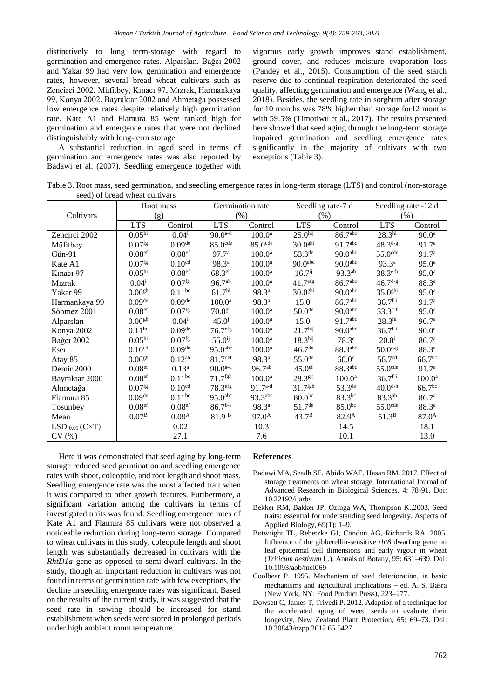distinctively to long term-storage with regard to germination and emergence rates. Alparslan, Bağcı 2002 and Yakar 99 had very low germination and emergence rates, however, several bread wheat cultivars such as Zencirci 2002, Müfitbey, Kınacı 97, Mızrak, Harmankaya 99, Konya 2002, Bayraktar 2002 and Ahmetağa possessed low emergence rates despite relatively high germination rate. Kate A1 and Flamura 85 were ranked high for germination and emergence rates that were not declined distinguishably with long-term storage.

A substantial reduction in aged seed in terms of germination and emergence rates was also reported by Badawi et al. (2007). Seedling emergence together with

vigorous early growth improves stand establishment, ground cover, and reduces moisture evaporation loss (Pandey et al., 2015). Consumption of the seed starch reserve due to continual respiration deteriorated the seed quality, affecting germination and emergence (Wang et al., 2018). Besides, the seedling rate in sorghum after storage for 10 months was 78% higher than storage for12 months with 59.5% (Timotiwu et al., 2017). The results presented here showed that seed aging through the long-term storage impaired germination and seedling emergence rates significantly in the majority of cultivars with two exceptions (Table 3).

Table 3. Root mass, seed germination, and seedling emergence rates in long-term storage (LTS) and control (non-storage seed) of bread wheat cultivars

|                              | Root mass            |                      | Germination rate      |                       | Seedling rate-7 d   |                       | Seedling rate -12 d           |                    |  |
|------------------------------|----------------------|----------------------|-----------------------|-----------------------|---------------------|-----------------------|-------------------------------|--------------------|--|
| Cultivars                    |                      | (g)                  |                       | (%)                   |                     | (% )                  |                               | (% )               |  |
|                              | <b>LTS</b>           | Control              | <b>LTS</b>            | Control               | <b>LTS</b>          | Control               | <b>LTS</b>                    | Control            |  |
| Zencirci 2002                | 0.05 <sup>hi</sup>   | $0.04^{i}$           | $90.0^{a-d}$          | $100.0^{\text{a}}$    | 25.0 <sup>hij</sup> | 86.7abc               | $28.3^{\overline{\text{hi}}}$ | 90.0 <sup>a</sup>  |  |
| Müfitbey                     | 0.07 <sup>fg</sup>   | 0.09 <sup>de</sup>   | $85.0$ <sup>cde</sup> | $85.0$ <sup>cde</sup> | 30.0 <sup>ghi</sup> | 91.7 <sup>abc</sup>   | $48.3^{d-g}$                  | 91.7 <sup>a</sup>  |  |
| Gün-91                       | 0.08 <sup>ef</sup>   | 0.08 <sup>ef</sup>   | 97.7 <sup>a</sup>     | 100.0 <sup>a</sup>    | $53.3^{\text{de}}$  | 90.0 <sup>abc</sup>   | $55.0$ <sup>cde</sup>         | 91.7 <sup>a</sup>  |  |
| Kate A1                      | $0.07$ <sup>fg</sup> | 0.10 <sup>cd</sup>   | $98.3^{a}$            | 100.0 <sup>a</sup>    | 90.0 <sup>abc</sup> | 90.0 <sup>abc</sup>   | $93.3^{a}$                    | 95.0 <sup>a</sup>  |  |
| Kinaci 97                    | 0.05 <sup>hi</sup>   | 0.08 <sup>ef</sup>   | $68.3^{gh}$           | 100.0 <sup>a</sup>    | $16.7^{ij}$         | $93.3^{ab}$           | $38.3^{\text{e-h}}$           | 95.0 <sup>a</sup>  |  |
| <b>M</b> <sub>1</sub> zrak   | $0.04^{i}$           | $0.07$ <sup>fg</sup> | $96.7^{ab}$           | $100.0^{\rm a}$       | 41.7 <sup>efg</sup> | 86.7abc               | $46.7d-g$                     | 88.3 <sup>a</sup>  |  |
| Yakar 99                     | 0.06 <sup>gh</sup>   | $0.11$ bc            | 61.7 <sup>hi</sup>    | $98.3^{a}$            | 30.0 <sup>ghi</sup> | 90.0 <sup>abc</sup>   | 35.0 <sup>ghi</sup>           | 95.0 <sup>a</sup>  |  |
| Harmankaya 99                | 0.09 <sup>de</sup>   | 0.09 <sup>de</sup>   | 100.0 <sup>a</sup>    | $98.3^{a}$            | $15.0^{j}$          | 86.7 <sup>abc</sup>   | $36.7^{f-i}$                  | 91.7 <sup>a</sup>  |  |
| Sönmez 2001                  | 0.08 <sup>ef</sup>   | $0.07$ <sup>fg</sup> | 70.0 <sup>gh</sup>    | 100.0 <sup>a</sup>    | 50.0 <sup>de</sup>  | 90.0 <sup>abc</sup>   | $53.3^{c-f}$                  | 95.0 <sup>a</sup>  |  |
| Alparslan                    | 0.06 <sup>gh</sup>   | $0.04^{i}$           | $45.0^{j}$            | 100.0 <sup>a</sup>    | $15.0^{j}$          | 91.7 <sup>abc</sup>   | 28.3 <sup>hi</sup>            | 96.7 <sup>a</sup>  |  |
| Konya 2002                   | $0.11^{bc}$          | 0.09 <sup>de</sup>   | 76.7 <sup>efg</sup>   | 100.0 <sup>a</sup>    | 21.7 <sup>hij</sup> | 90.0 <sup>abc</sup>   | $36.7^{f-i}$                  | 90.0 <sup>a</sup>  |  |
| <b>Bağcı</b> 2002            | 0.05 <sup>hi</sup>   | $0.07$ <sup>fg</sup> | $55.0^{ij}$           | 100.0 <sup>a</sup>    | 18.3 <sup>hij</sup> | 78.3c                 | $20.0^{i}$                    | 86.7 <sup>a</sup>  |  |
| Eser                         | 0.10 <sup>cd</sup>   | 0.09 <sup>de</sup>   | $95.0$ abc            | 100.0 <sup>a</sup>    | 46.7 <sup>de</sup>  | $88.3$ <sup>abc</sup> | $50.0^{\circ}$ -g             | 88.3 <sup>a</sup>  |  |
| Atay 85                      | 0.06 <sup>gh</sup>   | $0.12^{ab}$          | 81.7 <sup>def</sup>   | 98.3 <sup>a</sup>     | 55.0 <sup>de</sup>  | 60.0 <sup>d</sup>     | 56.7 <sup>cd</sup>            | 66.7 <sup>bc</sup> |  |
| Demir 2000                   | 0.08 <sup>ef</sup>   | $0.13^a$             | $90.0^{a-d}$          | $96.7^{ab}$           | 45.0 <sup>ef</sup>  | $88.3$ <sup>abc</sup> | $55.0$ <sup>cde</sup>         | 91.7 <sup>a</sup>  |  |
| Bayraktar 2000               | 0.08 <sup>ef</sup>   | $0.11^{bc}$          | $71.7$ <sup>fgh</sup> | 100.0 <sup>a</sup>    | $28.3^{g-j}$        | 100.0 <sup>a</sup>    | $36.7f-i$                     | 100.0 <sup>a</sup> |  |
| Ahmetağa                     | $0.07$ <sup>fg</sup> | 0.10 <sup>cd</sup>   | 78.3efg               | $91.7^{a-d}$          | 31.7 <sup>fgh</sup> | 53.3 <sup>de</sup>    | $40.0$ <sup>d-h</sup>         | 66.7 <sup>bc</sup> |  |
| Flamura 85                   | 0.09 <sup>de</sup>   | 0.11 <sup>bc</sup>   | $95.0$ abc            | 93.3abc               | $80.0^{bc}$         | $83.3^{bc}$           | $83.3^{ab}$                   | 86.7 <sup>a</sup>  |  |
| Tosunbey                     | 0.08 <sup>ef</sup>   | 0.08 <sup>ef</sup>   | $86.7^{b-e}$          | $98.3^{a}$            | 51.7 <sup>de</sup>  | 85.0 <sup>bc</sup>    | $55.0$ <sup>cde</sup>         | 88.3 <sup>a</sup>  |  |
| Mean                         | $0.07^{B}$           | 0.09 <sup>A</sup>    | $81.\overline{9^B}$   | $97.0^{A}$            | $43.7^{\rm B}$      | 82.9 <sup>A</sup>     | $51.3^B$                      | 87.0 <sup>A</sup>  |  |
| LSD $_{0.01}$ (C $\times$ T) |                      | 0.02                 |                       | 10.3                  |                     | 14.5                  |                               | 18.1               |  |
| CV(%)                        |                      | 27.1                 |                       | 7.6                   |                     | 10.1                  |                               | 13.0               |  |

Here it was demonstrated that seed aging by long-term storage reduced seed germination and seedling emergence rates with shoot, coleoptile, and root length and shoot mass. Seedling emergence rate was the most affected trait when it was compared to other growth features. Furthermore, a significant variation among the cultivars in terms of investigated traits was found. Seedling emergence rates of Kate A1 and Flamura 85 cultivars were not observed a noticeable reduction during long-term storage. Compared to wheat cultivars in this study, coleoptile length and shoot length was substantially decreased in cultivars with the *RhtD1a* gene as opposed to semi-dwarf cultivars. In the study, though an important reduction in cultivars was not found in terms of germination rate with few exceptions, the decline in seedling emergence rates was significant. Based on the results of the current study, it was suggested that the seed rate in sowing should be increased for stand establishment when seeds were stored in prolonged periods under high ambient room temperature.

### **References**

- Badawi MA, Seadh SE, Abido WAE, Hasan RM. 2017. Effect of storage treatments on wheat storage. International Journal of Advanced Research in Biological Sciences, 4: 78-91. Doi: 10.22192/ijarbs
- Bekker RM, Bakker JP, Ozinga WA, Thompson K.,2003. Seed traits: essential for understanding seed longevity. Aspects of Applied Biology, 69(1): 1–9.
- Botwright TL, Rebetzke GJ, Condon AG, Richards RA. 2005. Influence of the gibberellin-sensitive *rht8* dwarfing gene on leaf epidermal cell dimensions and early vigour in wheat (*Triticum aestivum* L.). Annals of Botany, 95: 631–639. Doi: 10.1093/aob/mci069
- Coolbear P. 1995. Mechanism of seed deterioration, in basic mechanisms and agricultural implications  $-$  ed. A. S. Basra (New York, NY: Food Product Press), 223–277.
- Dowsett C, James T, Trivedi P. 2012. Adaption of a technique for the accelerated aging of weed seeds to evaluate their longevity. New Zealand Plant Protection, 65: 69–73. Doi: 10.30843/nzpp.2012.65.5427.